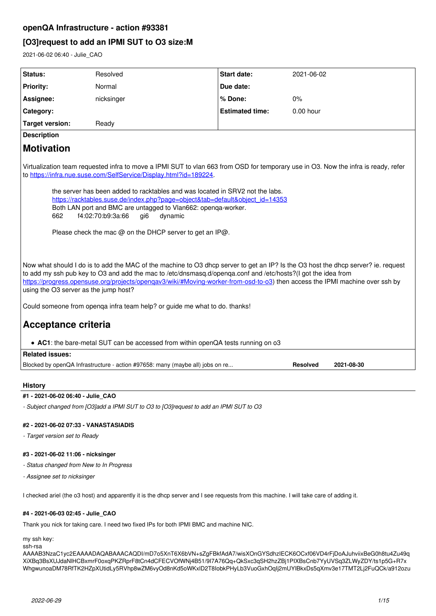# **[O3]request to add an IPMI SUT to O3 size:M**

2021-06-02 06:40 - Julie\_CAO

| Status:<br>Resolved<br><b>Start date:</b><br>2021-06-02<br><b>Priority:</b><br>Normal<br>Due date:                                                                                                                                                                                                                                                                                                                                                                                                                                                              |  |  |  |  |  |  |
|-----------------------------------------------------------------------------------------------------------------------------------------------------------------------------------------------------------------------------------------------------------------------------------------------------------------------------------------------------------------------------------------------------------------------------------------------------------------------------------------------------------------------------------------------------------------|--|--|--|--|--|--|
|                                                                                                                                                                                                                                                                                                                                                                                                                                                                                                                                                                 |  |  |  |  |  |  |
|                                                                                                                                                                                                                                                                                                                                                                                                                                                                                                                                                                 |  |  |  |  |  |  |
| % Done:<br>Assignee:<br>nicksinger<br>0%                                                                                                                                                                                                                                                                                                                                                                                                                                                                                                                        |  |  |  |  |  |  |
| <b>Estimated time:</b><br>$0.00$ hour<br>Category:                                                                                                                                                                                                                                                                                                                                                                                                                                                                                                              |  |  |  |  |  |  |
| <b>Target version:</b><br>Ready                                                                                                                                                                                                                                                                                                                                                                                                                                                                                                                                 |  |  |  |  |  |  |
| <b>Description</b>                                                                                                                                                                                                                                                                                                                                                                                                                                                                                                                                              |  |  |  |  |  |  |
| <b>Motivation</b>                                                                                                                                                                                                                                                                                                                                                                                                                                                                                                                                               |  |  |  |  |  |  |
| Virtualization team requested infra to move a IPMI SUT to vlan 663 from OSD for temporary use in O3. Now the infra is ready, refer<br>to https://infra.nue.suse.com/SelfService/Display.html?id=189224.<br>the server has been added to racktables and was located in SRV2 not the labs.<br>https://racktables.suse.de/index.php?page=object&tab=default&object_id=14353<br>Both LAN port and BMC are untagged to Vlan662: openqa-worker.<br>f4:02:70:b9:3a:66<br>662<br>gi <sub>6</sub><br>dynamic<br>Please check the mac @ on the DHCP server to get an IP@. |  |  |  |  |  |  |
| Now what should I do is to add the MAC of the machine to O3 dhcp server to get an IP? Is the O3 host the dhcp server? ie. request<br>to add my ssh pub key to O3 and add the mac to /etc/dnsmasq.d/openga.conf and /etc/hosts?(I got the idea from<br>https://progress.opensuse.org/projects/opengav3/wiki/#Moving-worker-from-osd-to-o3) then access the IPMI machine over ssh by<br>using the O3 server as the jump host?                                                                                                                                     |  |  |  |  |  |  |
| Could someone from openga infra team help? or guide me what to do. thanks!                                                                                                                                                                                                                                                                                                                                                                                                                                                                                      |  |  |  |  |  |  |
| Acceptance criteria                                                                                                                                                                                                                                                                                                                                                                                                                                                                                                                                             |  |  |  |  |  |  |
| • AC1: the bare-metal SUT can be accessed from within openQA tests running on o3<br><b>Related issues:</b>                                                                                                                                                                                                                                                                                                                                                                                                                                                      |  |  |  |  |  |  |
| Blocked by openQA Infrastructure - action #97658: many (maybe all) jobs on re<br><b>Resolved</b><br>2021-08-30                                                                                                                                                                                                                                                                                                                                                                                                                                                  |  |  |  |  |  |  |
|                                                                                                                                                                                                                                                                                                                                                                                                                                                                                                                                                                 |  |  |  |  |  |  |

# **History**

# **#1 - 2021-06-02 06:40 - Julie\_CAO**

*- Subject changed from [O3]add a IPMI SUT to O3 to [O3]request to add an IPMI SUT to O3*

# **#2 - 2021-06-02 07:33 - VANASTASIADIS**

*- Target version set to Ready*

# **#3 - 2021-06-02 11:06 - nicksinger**

- *Status changed from New to In Progress*
- *Assignee set to nicksinger*

I checked ariel (the o3 host) and apparently it is the dhcp server and I see requests from this machine. I will take care of adding it.

# **#4 - 2021-06-03 02:45 - Julie\_CAO**

Thank you nick for taking care. I need two fixed IPs for both IPMI BMC and machine NIC.

my ssh key: ssh-rsa

AAAAB3NzaC1yc2EAAAADAQABAAACAQDI/mD7o5XnT6X6bVN+sZgFBkfAdA7/wisXOnGYSdhzIECK6OCxf06VD4rFjDoAJuhviixBeG0h8tu4Zu49q XiXBq3BsXUJdaNlHCBxmrF0oxqPKZRprF8tCn4dCFECVOfWNj4B51/9I7A76Qq+QkSxc3qSH2hzZBj1PIXBsCnb7YyUVSq3ZLWyZDY/ts1p5G+R7x WhgwunoaDM78RfTK2HZpXUtidLy5RVhp8wZM6vyOd8nKd5oWKxlD2T8IobkPHyLb3VuoGxhOqIj2mUYIBkxDs5qXmv3e17TMT2Lj2FuQCk/a912ozu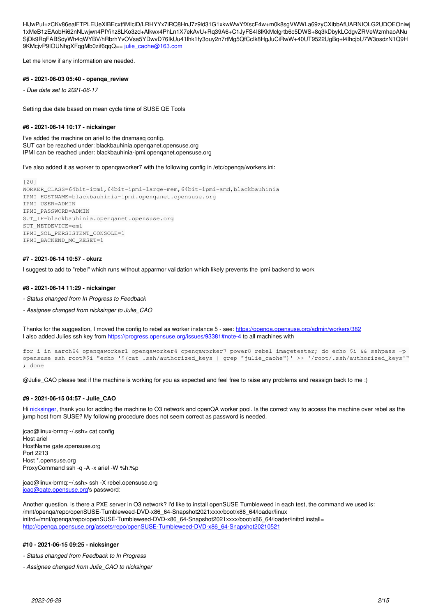HlJwPuI+zCKv86ealFTPLEUeXlBEcxtfiMIciD/LRHYYx7iRQ8HnJ7z9ld31G1xkwWwYfXscF4w+m0k8sgVWWLa69zyCXibbAfUARNIOLG2UDOEOniwj 1xMeB1zEAobHi62nNLwjwn4PIYihz8LKo3zd+Alkwx4PhLn1X7ekAvU+Rq39A6+C1JyFS4I8lKkMclgrtb6c5DWS+8q3kDbykLCdgvZRVeWzmhaoANu SjDk9RqFABSdyWh4qWYBV/hRbrhYvOVsa5YDwvD76IkUu41lhk1fy3ouy2n7rtMg5QfCcIk8HgJuCiRwW+40UT9522UgBq+l4IhcjbU7W3osdzN1Q9H 9KMcjvP9IOUNhgXFqgMb0zif6qqQ == [julie\\_caohe@163.com](mailto:julie_caohe@163.com)

Let me know if any information are needed.

#### **#5 - 2021-06-03 05:40 - openqa\_review**

*- Due date set to 2021-06-17*

Setting due date based on mean cycle time of SUSE QE Tools

# **#6 - 2021-06-14 10:17 - nicksinger**

I've added the machine on ariel to the dnsmasq config. SUT can be reached under: blackbauhinia.openqanet.opensuse.org IPMI can be reached under: blackbauhinia-ipmi.openqanet.opensuse.org

I've also added it as worker to openqaworker7 with the following config in /etc/openqa/workers.ini:

[20] WORKER\_CLASS=64bit-ipmi,64bit-ipmi-large-mem,64bit-ipmi-amd,blackbauhinia IPMI\_HOSTNAME=blackbauhinia-ipmi.openqanet.opensuse.org IPMI\_USER=ADMIN IPMI\_PASSWORD=ADMIN SUT\_IP=blackbauhinia.openqanet.opensuse.org SUT\_NETDEVICE=em1 IPMI\_SOL\_PERSISTENT\_CONSOLE=1 IPMI\_BACKEND\_MC\_RESET=1

### **#7 - 2021-06-14 10:57 - okurz**

I suggest to add to "rebel" which runs without apparmor validation which likely prevents the ipmi backend to work

#### **#8 - 2021-06-14 11:29 - nicksinger**

- *Status changed from In Progress to Feedback*
- *Assignee changed from nicksinger to Julie\_CAO*

Thanks for the suggestion, I moved the config to rebel as worker instance 5 - see: <https://openqa.opensuse.org/admin/workers/382> I also added Julies ssh key from<https://progress.opensuse.org/issues/93381#note-4>to all machines with

for i in aarch64 openqaworker1 openqaworker4 openqaworker7 power8 rebel imagetester; do echo \$i && sshpass -p opensuse ssh root@\$i "echo '\$(cat .ssh/authorized\_keys | grep "julie\_caohe")' >> '/root/.ssh/authorized\_keys'" ; done

@Julie\_CAO please test if the machine is working for you as expected and feel free to raise any problems and reassign back to me :)

### **#9 - 2021-06-15 04:57 - Julie\_CAO**

Hi [nicksinger,](progress.opensuse.org/users/24624) thank you for adding the machine to O3 network and openQA worker pool. Is the correct way to access the machine over rebel as the jump host from SUSE? My following procedure does not seem correct as password is needed.

jcao@linux-brmq:~/.ssh> cat config Host ariel HostName gate.opensuse.org Port 2213 Host \*.opensuse.org ProxyCommand ssh -q -A -x ariel -W %h:%p

jcao@linux-brmq:~/.ssh> ssh -X rebel.opensuse.org [jcao@gate.opensuse.org](mailto:jcao@gate.opensuse.org)'s password:

Another question, is there a PXE server in O3 network? I'd like to install openSUSE Tumbleweed in each test, the command we used is: /mnt/openqa/repo/openSUSE-Tumbleweed-DVD-x86\_64-Snapshot2021xxxx/boot/x86\_64/loader/linux initrd=/mnt/openqa/repo/openSUSE-Tumbleweed-DVD-x86\_64-Snapshot2021xxxx/boot/x86\_64/loader/initrd install= [http://openqa.opensuse.org/assets/repo/openSUSE-Tumbleweed-DVD-x86\\_64-Snapshot20210521](http://openqa.opensuse.org/assets/repo/openSUSE-Tumbleweed-DVD-x86_64-Snapshot20210521)

### **#10 - 2021-06-15 09:25 - nicksinger**

*- Status changed from Feedback to In Progress*

*- Assignee changed from Julie\_CAO to nicksinger*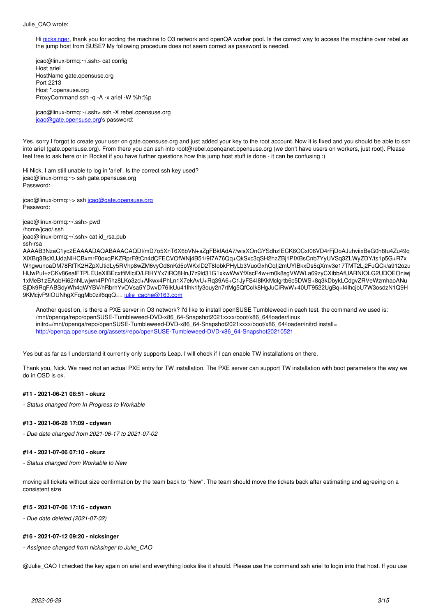#### Julie\_CAO wrote:

Hi [nicksinger,](progress.opensuse.org/users/24624) thank you for adding the machine to O3 network and openQA worker pool. Is the correct way to access the machine over rebel as the jump host from SUSE? My following procedure does not seem correct as password is needed.

jcao@linux-brmq:~/.ssh> cat config Host ariel HostName gate.opensuse.org Port 2213 Host \*.opensuse.org ProxyCommand ssh -q -A -x ariel -W %h:%p

jcao@linux-brmq:~/.ssh> ssh -X rebel.opensuse.org [jcao@gate.opensuse.org](mailto:jcao@gate.opensuse.org)'s password:

Yes, sorry I forgot to create your user on gate.opensuse.org and just added your key to the root account. Now it is fixed and you should be able to ssh into ariel (gate.opensuse.org). From there you can ssh into root@rebel.openqanet.opensuse.org (we don't have users on workers, just root). Please feel free to ask here or in Rocket if you have further questions how this jump host stuff is done - it can be confusing :)

Hi Nick, I am still unable to log in 'ariel'. Is the correct ssh key used? jcao@linux-brmq:~> ssh gate.opensuse.org Password:

jcao@linux-brmq:~> ssh [jcao@gate.opensuse.org](mailto:jcao@gate.opensuse.org) Password:

jcao@linux-brmq:~/.ssh> pwd /home/jcao/.ssh jcao@linux-brmq:~/.ssh> cat id\_rsa.pub ssh-rsa

AAAAB3NzaC1yc2EAAAADAQABAAACAQDI/mD7o5XnT6X6bVN+sZgFBkfAdA7/wisXOnGYSdhzIECK6OCxf06VD4rFjDoAJuhviixBeG0h8tu4Zu49q XiXBq3BsXUJdaNlHCBxmrF0oxqPKZRprF8tCn4dCFECVOfWNj4B51/9I7A76Qq+QkSxc3qSH2hzZBj1PIXBsCnb7YyUVSq3ZLWyZDY/ts1p5G+R7x WhgwunoaDM78RfTK2HZpXUtidLy5RVhp8wZM6vyOd8nKd5oWKxlD2T8IobkPHyLb3VuoGxhOqIj2mUYIBkxDs5qXmv3e17TMT2Lj2FuQCk/a912ozu HlJwPuI+zCKv86ealFTPLEUeXlBEcxtfiMIciD/LRHYYx7iRQ8HnJ7z9ld31G1xkwWwYfXscF4w+m0k8sgVWWLa69zyCXibbAfUARNIOLG2UDOEOniwj 1xMeB1zEAobHi62nNLwjwn4PIYihz8LKo3zd+Alkwx4PhLn1X7ekAvU+Rq39A6+C1JyFS4I8lKkMclgrtb6c5DWS+8q3kDbykLCdgvZRVeWzmhaoANu SjDk9RqFABSdyWh4qWYBV/hRbrhYvOVsa5YDwvD76IkUu41lhk1fy3ouy2n7rtMg5QfCcIk8HgJuCiRwW+40UT9522UgBq+l4IhcjbU7W3osdzN1Q9H 9KMcjvP9IOUNhgXFqgMb0zif6qqQ== [julie\\_caohe@163.com](mailto:julie_caohe@163.com)

Another question, is there a PXE server in O3 network? I'd like to install openSUSE Tumbleweed in each test, the command we used is: /mnt/openqa/repo/openSUSE-Tumbleweed-DVD-x86\_64-Snapshot2021xxxx/boot/x86\_64/loader/linux initrd=/mnt/openqa/repo/openSUSE-Tumbleweed-DVD-x86\_64-Snapshot2021xxxx/boot/x86\_64/loader/initrd install= [http://openqa.opensuse.org/assets/repo/openSUSE-Tumbleweed-DVD-x86\\_64-Snapshot20210521](http://openqa.opensuse.org/assets/repo/openSUSE-Tumbleweed-DVD-x86_64-Snapshot20210521)

Yes but as far as I understand it currently only supports Leap. I will check if I can enable TW installations on there.

Thank you, Nick. We need not an actual PXE entry for TW installation. The PXE server can support TW installation with boot parameters the way we do in OSD is ok.

# **#11 - 2021-06-21 08:51 - okurz**

*- Status changed from In Progress to Workable*

# **#13 - 2021-06-28 17:09 - cdywan**

*- Due date changed from 2021-06-17 to 2021-07-02*

# **#14 - 2021-07-06 07:10 - okurz**

*- Status changed from Workable to New*

moving all tickets without size confirmation by the team back to "New". The team should move the tickets back after estimating and agreeing on a consistent size

# **#15 - 2021-07-06 17:16 - cdywan**

*- Due date deleted (2021-07-02)*

# **#16 - 2021-07-12 09:20 - nicksinger**

*- Assignee changed from nicksinger to Julie\_CAO*

@Julie\_CAO I checked the key again on ariel and everything looks like it should. Please use the command ssh ariel to login into that host. If you use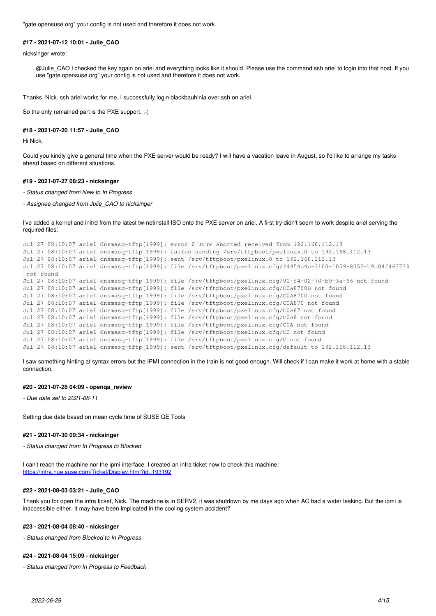"gate.opensuse.org" your config is not used and therefore it does not work.

# **#17 - 2021-07-12 10:01 - Julie\_CAO**

nicksinger wrote:

@Julie\_CAO I checked the key again on ariel and everything looks like it should. Please use the command ssh ariel to login into that host. If you use "gate.opensuse.org" your config is not used and therefore it does not work.

Thanks, Nick. ssh ariel works for me. I successfully login blackbauhinia over ssh on ariel.

So the only remained part is the PXE support. :-)

### **#18 - 2021-07-20 11:57 - Julie\_CAO**

Hi Nick,

Could you kindly give a general time when the PXE server would be ready? I will have a vacation leave in August, so I'd like to arrange my tasks ahead based on different situations.

# **#19 - 2021-07-27 08:23 - nicksinger**

*- Status changed from New to In Progress*

*- Assignee changed from Julie\_CAO to nicksinger*

I've added a kernel and initrd from the latest tw-netinstall ISO onto the PXE server on ariel. A first try didn't seem to work despite ariel serving the required files:

```
Jul 27 08:10:07 ariel dnsmasq-tftp[1999]: error 0 TFTP Aborted received from 192.168.112.13
Jul 27 08:10:07 ariel dnsmasq-tftp[1999]: failed sending /srv/tftpboot/pxelinux.0 to 192.168.112.13
Jul 27 08:10:07 ariel dnsmasq-tftp[1999]: sent /srv/tftpboot/pxelinux.0 to 192.168.112.13
Jul 27 08:10:07 ariel dnsmasq-tftp[1999]: file /srv/tftpboot/pxelinux.cfg/44454c4c-3100-1059-8052-b9c04f463733
 not found
Jul 27 08:10:07 ariel dnsmasq-tftp[1999]: file /srv/tftpboot/pxelinux.cfg/01-f4-02-70-b9-3a-66 not found
Jul 27 08:10:07 ariel dnsmasq-tftp[1999]: file /srv/tftpboot/pxelinux.cfg/C0A8700D not found
Jul 27 08:10:07 ariel dnsmasq-tftp[1999]: file /srv/tftpboot/pxelinux.cfg/C0A8700 not found
Jul 27 08:10:07 ariel dnsmasq-tftp[1999]: file /srv/tftpboot/pxelinux.cfg/C0A870 not found
Jul 27 08:10:07 ariel dnsmasq-tftp[1999]: file /srv/tftpboot/pxelinux.cfg/C0A87 not found
Jul 27 08:10:07 ariel dnsmasq-tftp[1999]: file /srv/tftpboot/pxelinux.cfg/C0A8 not found
Jul 27 08:10:07 ariel dnsmasq-tftp[1999]: file /srv/tftpboot/pxelinux.cfg/C0A not found
Jul 27 08:10:07 ariel dnsmasq-tftp[1999]: file /srv/tftpboot/pxelinux.cfg/C0 not found
Jul 27 08:10:07 ariel dnsmasq-tftp[1999]: file /srv/tftpboot/pxelinux.cfg/C not found
Jul 27 08:10:07 ariel dnsmasq-tftp[1999]: sent /srv/tftpboot/pxelinux.cfg/default to 192.168.112.13
```
I saw something hinting at syntax errors but the IPMI connection in the train is not good enough. Will check if I can make it work at home with a stable connection.

## **#20 - 2021-07-28 04:09 - openqa\_review**

*- Due date set to 2021-08-11*

Setting due date based on mean cycle time of SUSE QE Tools

### **#21 - 2021-07-30 09:34 - nicksinger**

*- Status changed from In Progress to Blocked*

I can't reach the machine nor the ipmi interface. I created an infra ticket now to check this machine: <https://infra.nue.suse.com/Ticket/Display.html?id=193192>

### **#22 - 2021-08-03 03:21 - Julie\_CAO**

Thank you for open the infra ticket, Nick. The machine is in SERV2, it was shutdown by me days ago when AC had a water leaking. But the ipmi is inaccessible either, It may have been implicated in the cooling system accident?

#### **#23 - 2021-08-04 08:40 - nicksinger**

*- Status changed from Blocked to In Progress*

### **#24 - 2021-08-04 15:09 - nicksinger**

*- Status changed from In Progress to Feedback*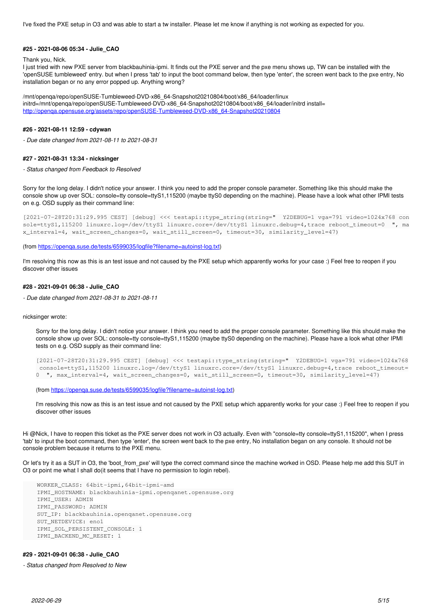I've fixed the PXE setup in O3 and was able to start a tw installer. Please let me know if anything is not working as expected for you.

### **#25 - 2021-08-06 05:34 - Julie\_CAO**

#### Thank you, Nick.

I just tried with new PXE server from blackbauhinia-ipmi. It finds out the PXE server and the pxe menu shows up, TW can be installed with the 'openSUSE tumbleweed' entry. but when I press 'tab' to input the boot command below, then type 'enter', the screen went back to the pxe entry, No installation began or no any error popped up. Anything wrong?

/mnt/openqa/repo/openSUSE-Tumbleweed-DVD-x86\_64-Snapshot20210804/boot/x86\_64/loader/linux initrd=/mnt/openqa/repo/openSUSE-Tumbleweed-DVD-x86\_64-Snapshot20210804/boot/x86\_64/loader/initrd install= [http://openqa.opensuse.org/assets/repo/openSUSE-Tumbleweed-DVD-x86\\_64-Snapshot20210804](http://openqa.opensuse.org/assets/repo/openSUSE-Tumbleweed-DVD-x86_64-Snapshot20210804)

#### **#26 - 2021-08-11 12:59 - cdywan**

*- Due date changed from 2021-08-11 to 2021-08-31*

#### **#27 - 2021-08-31 13:34 - nicksinger**

*- Status changed from Feedback to Resolved*

Sorry for the long delay. I didn't notice your answer. I think you need to add the proper console parameter. Something like this should make the console show up over SOL: console=tty console=ttyS1,115200 (maybe ttyS0 depending on the machine). Please have a look what other IPMI tests on e.g. OSD supply as their command line:

```
[2021-07-28T20:31:29.995 CEST] [debug] <<< testapi::type_string(string="  Y2DEBUG=1 vga=791 video=1024x768 con
sole=ttyS1,115200 linuxrc.log=/dev/ttyS1 linuxrc.core=/dev/ttyS1 linuxrc.debug=4,trace reboot_timeout=0  ", ma
x_interval=4, wait_screen_changes=0, wait_still_screen=0, timeout=30, similarity_level=47)
```
(from [https://openqa.suse.de/tests/6599035/logfile?filename=autoinst-log.txt\)](https://openqa.suse.de/tests/6599035/logfile?filename=autoinst-log.txt)

I'm resolving this now as this is an test issue and not caused by the PXE setup which apparently works for your case :) Feel free to reopen if you discover other issues

#### **#28 - 2021-09-01 06:38 - Julie\_CAO**

*- Due date changed from 2021-08-31 to 2021-08-11*

nicksinger wrote:

Sorry for the long delay. I didn't notice your answer. I think you need to add the proper console parameter. Something like this should make the console show up over SOL: console=tty console=ttyS1,115200 (maybe ttyS0 depending on the machine). Please have a look what other IPMI tests on e.g. OSD supply as their command line:

```
[2021-07-28T20:31:29.995 CEST] [debug] <<< testapi::type_string(string="  Y2DEBUG=1 vga=791 video=1024x768
console=ttyS1,115200 linuxrc.log=/dev/ttyS1 linuxrc.core=/dev/ttyS1 linuxrc.debug=4,trace reboot timeout=
0  ", max_interval=4, wait_screen_changes=0, wait_still_screen=0, timeout=30, similarity_level=47)
```
(from [https://openqa.suse.de/tests/6599035/logfile?filename=autoinst-log.txt\)](https://openqa.suse.de/tests/6599035/logfile?filename=autoinst-log.txt)

I'm resolving this now as this is an test issue and not caused by the PXE setup which apparently works for your case :) Feel free to reopen if you discover other issues

Hi @Nick, I have to reopen this ticket as the PXE server does not work in O3 actually. Even with "console=tty console=ttyS1,115200", when I press 'tab' to input the boot command, then type 'enter', the screen went back to the pxe entry, No installation began on any console. It should not be console problem because it returns to the PXE menu.

Or let's try it as a SUT in O3, the 'boot\_from\_pxe' will type the correct command since the machine worked in OSD. Please help me add this SUT in O3 or point me what I shall do(it seems that I have no permission to login rebel).

```
    WORKER_CLASS: 64bit-ipmi,64bit-ipmi-amd
    IPMI_HOSTNAME: blackbauhinia-ipmi.openqanet.opensuse.org
    IPMI_USER: ADMIN
    IPMI_PASSWORD: ADMIN
    SUT_IP: blackbauhinia.openqanet.opensuse.org
    SUT_NETDEVICE: eno1
    IPMI_SOL_PERSISTENT_CONSOLE: 1
    IPMI_BACKEND_MC_RESET: 1
```
### **#29 - 2021-09-01 06:38 - Julie\_CAO**

*- Status changed from Resolved to New*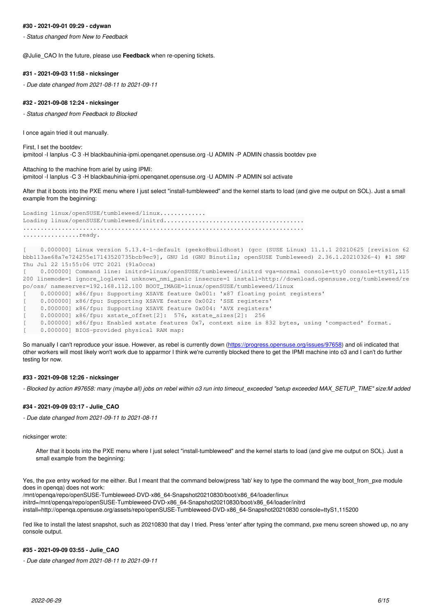### **#30 - 2021-09-01 09:29 - cdywan**

*- Status changed from New to Feedback*

@Julie\_CAO In the future, please use **Feedback** when re-opening tickets.

#### **#31 - 2021-09-03 11:58 - nicksinger**

*- Due date changed from 2021-08-11 to 2021-09-11*

# **#32 - 2021-09-08 12:24 - nicksinger**

*- Status changed from Feedback to Blocked*

I once again tried it out manually.

First, I set the bootdev: ipmitool -I lanplus -C 3 -H blackbauhinia-ipmi.openqanet.opensuse.org -U ADMIN -P ADMIN chassis bootdev pxe

Attaching to the machine from ariel by using IPMI: ipmitool -I lanplus -C 3 -H blackbauhinia-ipmi.openqanet.opensuse.org -U ADMIN -P ADMIN sol activate

After that it boots into the PXE menu where I just select "install-tumbleweed" and the kernel starts to load (and give me output on SOL). Just a small example from the beginning:

Loading linux/openSUSE/tumbleweed/linux............ Loading linux/openSUSE/tumbleweed/initrd........................................ ................................................................................ ................ready.

[ 0.000000] Linux version 5.13.4-1-default (geeko@buildhost) (gcc (SUSE Linux) 11.1.1 20210625 [revision 62 bbb113ae68a7e724255e17143520735bcb9ec9], GNU ld (GNU Binutils; openSUSE Tumbleweed) 2.36.1.20210326-4) #1 SMP Thu Jul 22 15:55:06 UTC 2021 (91a0cca)

[ 0.000000] Command line: initrd=linux/openSUSE/tumbleweed/initrd vga=normal console=tty0 console=ttyS1,115 200 linemode=1 ignore\_loglevel unknown\_nmi\_panic insecure=1 install=http://download.opensuse.org/tumbleweed/re po/oss/ nameserver=192.168.112.100 BOOT\_IMAGE=linux/openSUSE/tumbleweed/linux

[ 0.000000] x86/fpu: Supporting XSAVE feature 0x001: 'x87 floating point registers'

[ 0.000000] x86/fpu: Supporting XSAVE feature 0x002: 'SSE registers'

[ 0.000000] x86/fpu: Supporting XSAVE feature 0x004: 'AVX registers'

0.000000] x86/fpu: xstate\_offset[2]: 576, xstate\_sizes[2]: 256

0.000000] x86/fpu: Enabled xstate features 0x7, context size is 832 bytes, using 'compacted' format.

[  $0.000000$ ] BIOS-provided physical RAM map:

So manually I can't reproduce your issue. However, as rebel is currently down [\(https://progress.opensuse.org/issues/97658\)](https://progress.opensuse.org/issues/97658) and oli indicated that other workers will most likely won't work due to apparmor I think we're currently blocked there to get the IPMI machine into o3 and I can't do further testing for now.

## **#33 - 2021-09-08 12:26 - nicksinger**

- Blocked by action #97658: many (maybe all) jobs on rebel within o3 run into timeout exceeded "setup exceeded MAX\_SETUP\_TIME" size:M added

# **#34 - 2021-09-09 03:17 - Julie\_CAO**

*- Due date changed from 2021-09-11 to 2021-08-11*

nicksinger wrote:

After that it boots into the PXE menu where I just select "install-tumbleweed" and the kernel starts to load (and give me output on SOL). Just a small example from the beginning:

Yes, the pxe entry worked for me either. But I meant that the command below(press 'tab' key to type the command the way boot from pxe module does in openqa) does not work: /mnt/openqa/repo/openSUSE-Tumbleweed-DVD-x86\_64-Snapshot20210830/boot/x86\_64/loader/linux initrd=/mnt/openqa/repo/openSUSE-Tumbleweed-DVD-x86\_64-Snapshot20210830/boot/x86\_64/loader/initrd

install=http://openqa.opensuse.org/assets/repo/openSUSE-Tumbleweed-DVD-x86\_64-Snapshot20210830 console=ttyS1,115200

I'ed like to install the latest snapshot, such as 20210830 that day I tried. Press 'enter' after typing the command, pxe menu screen showed up, no any console output.

### **#35 - 2021-09-09 03:55 - Julie\_CAO**

*- Due date changed from 2021-08-11 to 2021-09-11*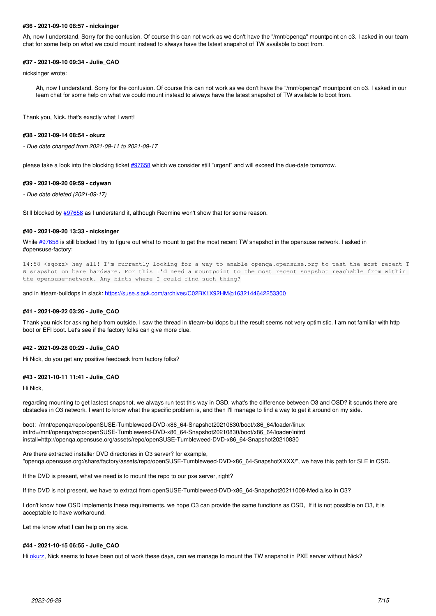### **#36 - 2021-09-10 08:57 - nicksinger**

Ah, now I understand. Sorry for the confusion. Of course this can not work as we don't have the "/mnt/openqa" mountpoint on o3. I asked in our team chat for some help on what we could mount instead to always have the latest snapshot of TW available to boot from.

# **#37 - 2021-09-10 09:34 - Julie\_CAO**

nicksinger wrote:

Ah, now I understand. Sorry for the confusion. Of course this can not work as we don't have the "/mnt/openqa" mountpoint on o3. I asked in our team chat for some help on what we could mount instead to always have the latest snapshot of TW available to boot from.

Thank you, Nick. that's exactly what I want!

#### **#38 - 2021-09-14 08:54 - okurz**

*- Due date changed from 2021-09-11 to 2021-09-17*

please take a look into the blocking ticket [#97658](https://progress.opensuse.org/issues/97658) which we consider still "urgent" and will exceed the due-date tomorrow.

#### **#39 - 2021-09-20 09:59 - cdywan**

*- Due date deleted (2021-09-17)*

Still blocked by [#97658](https://progress.opensuse.org/issues/97658) as I understand it, although Redmine won't show that for some reason.

### **#40 - 2021-09-20 13:33 - nicksinger**

While [#97658](https://progress.opensuse.org/issues/97658) is still blocked I try to figure out what to mount to get the most recent TW snapshot in the opensuse network. I asked in #opensuse-factory:

14:58 <sqozz> hey all! I'm currently looking for a way to enable openqa.opensuse.org to test the most recent T W snapshot on bare hardware. For this I'd need a mountpoint to the most recent snapshot reachable from within the opensuse-network. Any hints where I could find such thing?

and in #team-buildops in slack:<https://suse.slack.com/archives/C02BX1X92HM/p1632144642253300>

#### **#41 - 2021-09-22 03:26 - Julie\_CAO**

Thank you nick for asking help from outside. I saw the thread in #team-buildops but the result seems not very optimistic. I am not familiar with http boot or EFI boot. Let's see if the factory folks can give more clue.

#### **#42 - 2021-09-28 00:29 - Julie\_CAO**

Hi Nick, do you get any positive feedback from factory folks?

### **#43 - 2021-10-11 11:41 - Julie\_CAO**

Hi Nick,

regarding mounting to get lastest snapshot, we always run test this way in OSD. what's the difference between O3 and OSD? it sounds there are obstacles in O3 network. I want to know what the specific problem is, and then I'll manage to find a way to get it around on my side.

boot: /mnt/openqa/repo/openSUSE-Tumbleweed-DVD-x86\_64-Snapshot20210830/boot/x86\_64/loader/linux initrd=/mnt/openqa/repo/openSUSE-Tumbleweed-DVD-x86\_64-Snapshot20210830/boot/x86\_64/loader/initrd install=http://openqa.opensuse.org/assets/repo/openSUSE-Tumbleweed-DVD-x86\_64-Snapshot20210830

Are there extracted installer DVD directories in O3 server? for example, "openqa.opensuse.org:/share/factory/assets/repo/openSUSE-Tumbleweed-DVD-x86\_64-SnapshotXXXX/", we have this path for SLE in OSD.

If the DVD is present, what we need is to mount the repo to our pxe server, right?

If the DVD is not present, we have to extract from openSUSE-Tumbleweed-DVD-x86\_64-Snapshot20211008-Media.iso in O3?

I don't know how OSD implements these requirements. we hope O3 can provide the same functions as OSD, If it is not possible on O3, it is acceptable to have workaround.

Let me know what I can help on my side.

#### **#44 - 2021-10-15 06:55 - Julie\_CAO**

Hi [okurz,](progress.opensuse.org/users/17668) Nick seems to have been out of work these days, can we manage to mount the TW snapshot in PXE server without Nick?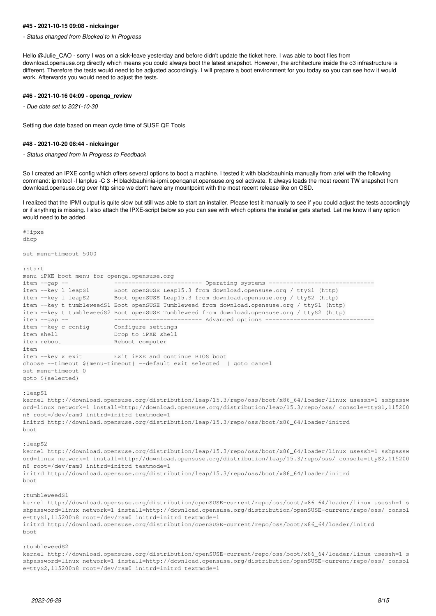#### **#45 - 2021-10-15 09:08 - nicksinger**

*- Status changed from Blocked to In Progress*

Hello @Julie\_CAO - sorry I was on a sick-leave yesterday and before didn't update the ticket here. I was able to boot files from download.opensuse.org directly which means you could always boot the latest snapshot. However, the architecture inside the o3 infrastructure is different. Therefore the tests would need to be adjusted accordingly. I will prepare a boot environment for you today so you can see how it would work. Afterwards you would need to adjust the tests.

# **#46 - 2021-10-16 04:09 - openqa\_review**

*- Due date set to 2021-10-30*

Setting due date based on mean cycle time of SUSE QE Tools

#### **#48 - 2021-10-20 08:44 - nicksinger**

*- Status changed from In Progress to Feedback*

So I created an IPXE config which offers several options to boot a machine. I tested it with blackbauhinia manually from ariel with the following command: ipmitool -I lanplus -C 3 -H blackbauhinia-ipmi.openqanet.opensuse.org sol activate. It always loads the most recent TW snapshot from download.opensuse.org over http since we don't have any mountpoint with the most recent release like on OSD.

I realized that the IPMI output is quite slow but still was able to start an installer. Please test it manually to see if you could adjust the tests accordingly or if anything is missing. I also attach the IPXE-script below so you can see with which options the installer gets started. Let me know if any option would need to be added.

#!ipxe dhcp

set menu-timeout 5000

```
:start
```
menu iPXE boot menu for openqa.opensuse.org item --gap -- ------------------------- Operating systems ----------------------------- item --key l leapS1 Boot openSUSE Leap15.3 from download.opensuse.org / ttyS1 (http) item --key 1 leapS2 Boot openSUSE Leap15.3 from download.opensuse.org / ttyS2 (http) item --key t tumbleweedS1 Boot openSUSE Tumbleweed from download.opensuse.org / ttyS1 (http) item --key t tumbleweedS2 Boot openSUSE Tumbleweed from download.opensuse.org / ttyS2 (http) item --gap -- ------------------------- Advanced options ------------------------------ item --key c config Configure settings item shell **Drop** to iPXE shell item reboot **by Channel Computer** item item --key x exit Exit iPXE and continue BIOS boot choose --timeout \${menu-timeout} --default exit selected || goto cancel set menu-timeout 0 goto \${selected}

:leapS1

kernel http://download.opensuse.org/distribution/leap/15.3/repo/oss/boot/x86\_64/loader/linux usessh=1 sshpassw ord=linux network=1 install=http://download.opensuse.org/distribution/leap/15.3/repo/oss/ console=ttyS1,115200 n8 root=/dev/ram0 initrd=initrd textmode=1 initrd http://download.opensuse.org/distribution/leap/15.3/repo/oss/boot/x86\_64/loader/initrd boot

:leapS2

kernel http://download.opensuse.org/distribution/leap/15.3/repo/oss/boot/x86\_64/loader/linux usessh=1 sshpassw ord=linux network=1 install=http://download.opensuse.org/distribution/leap/15.3/repo/oss/ console=ttyS2,115200 n8 root=/dev/ram0 initrd=initrd textmode=1 initrd http://download.opensuse.org/distribution/leap/15.3/repo/oss/boot/x86\_64/loader/initrd

boot

:tumbleweedS1

kernel http://download.opensuse.org/distribution/openSUSE-current/repo/oss/boot/x86\_64/loader/linux usessh=1 s shpassword=linux network=1 install=http://download.opensuse.org/distribution/openSUSE-current/repo/oss/ consol e=ttyS1,115200n8 root=/dev/ram0 initrd=initrd textmode=1

initrd http://download.opensuse.org/distribution/openSUSE-current/repo/oss/boot/x86\_64/loader/initrd boot

:tumbleweedS2

kernel http://download.opensuse.org/distribution/openSUSE-current/repo/oss/boot/x86\_64/loader/linux usessh=1 s shpassword=linux network=1 install=http://download.opensuse.org/distribution/openSUSE-current/repo/oss/ consol e=ttyS2,115200n8 root=/dev/ram0 initrd=initrd textmode=1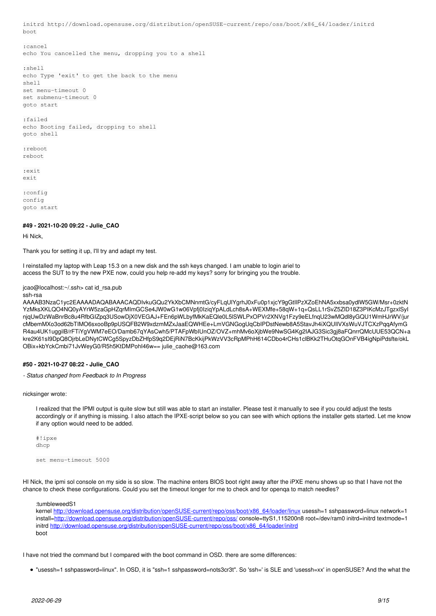initrd http://download.opensuse.org/distribution/openSUSE-current/repo/oss/boot/x86\_64/loader/initrd boot

:cancel

echo You cancelled the menu, dropping you to a shell

:shell echo Type 'exit' to get the back to the menu shell set menu-timeout 0 set submenu-timeout 0 goto start

:failed echo Booting failed, dropping to shell goto shell

:reboot reboot

:exit exit

:config config goto start

# **#49 - 2021-10-20 09:22 - Julie\_CAO**

Hi Nick,

Thank you for setting it up, I'll try and adapt my test.

I reinstalled my laptop with Leap 15.3 on a new disk and the ssh keys changed. I am unable to login ariel to access the SUT to try the new PXE now, could you help re-add my keys? sorry for bringing you the trouble.

jcao@localhost:~/.ssh> cat id\_rsa.pub

ssh-rsa

AAAAB3NzaC1yc2EAAAADAQABAAACAQDIvkuGQu2YkXbCMNnmtG/cyFLqUlYgrhJ0xFu0p1xjcY9gGtIlPzXZoEhNA5xxbsa0ydlW5GW/Msr+0zktN YzMksXKLQO4NQ0yAYrW5zaGpHZqrMImGCSe4JW0wG1w06Vpfj0IziqYpALdLch8sA+WEXMfe+58qW+1q+QsLL1rSvZ5ZlD18Z3PIKcMzJTgzxlSyI njqUwDzWaBnrBc8u4RfbGIZpq3USowDjX0VEGAJ+FEn6pWLbyfMkKaEQle0L5lSWLPxOPVr2XNVg1Fzy9eELfnqU23wMQdl8yGQU1WmHJrWV/jur cMbemMXo3od62bTIMO6sxooBp9pUSQFB2W9xdzmMZxJaaEQWHEe+LmVGNGogUqCbIPDstNewb8A5StavJh4iXQUIlVXsWuVJTCXzPqqAfymG R4au4UK1uggilB/rFTiYgVWM7eEO/Damb67qYAsCwh5/PTAFpWbIUnOZ/OVZ+mhMv6oXjbWe9NwSG4Kg2IAJG3Sic3gj8aFQnrrQMcUUE53QCN+a kre2K61sI9DpQ8OjrbLeDNytCWCg5SpyzDbZHfpS9q2DEjRiN7BcKkijPkWzVV3cRpMPhH614CDbo4rCHs1clBKk2THuOtqGOnFVB4igNpiPdsfte/okL OBix+kbYckCmbi71JvWeyG0/R5h5KtDMPohI46w== julie\_caohe@163.com

# **#50 - 2021-10-27 08:22 - Julie\_CAO**

*- Status changed from Feedback to In Progress*

nicksinger wrote:

I realized that the IPMI output is quite slow but still was able to start an installer. Please test it manually to see if you could adjust the tests accordingly or if anything is missing. I also attach the IPXE-script below so you can see with which options the installer gets started. Let me know if any option would need to be added.

#!ipxe dhcp

set menu-timeout 5000

HI Nick, the ipmi sol console on my side is so slow. The machine enters BIOS boot right away after the iPXE menu shows up so that I have not the chance to check these configurations. Could you set the timeout longer for me to check and for openqa to match needles?

:tumbleweedS1

kernel [http://download.opensuse.org/distribution/openSUSE-current/repo/oss/boot/x86\\_64/loader/linux](http://download.opensuse.org/distribution/openSUSE-current/repo/oss/boot/x86_64/loader/linux) usessh=1 sshpassword=linux network=1 install[=http://download.opensuse.org/distribution/openSUSE-current/repo/oss/](http://download.opensuse.org/distribution/openSUSE-current/repo/oss/) console=ttyS1,115200n8 root=/dev/ram0 initrd=initrd textmode=1 initrd [http://download.opensuse.org/distribution/openSUSE-current/repo/oss/boot/x86\\_64/loader/initrd](http://download.opensuse.org/distribution/openSUSE-current/repo/oss/boot/x86_64/loader/initrd) boot

I have not tried the command but I compared with the boot command in OSD. there are some differences:

"usessh=1 sshpassword=linux". In OSD, it is "ssh=1 sshpassword=nots3cr3t". So 'ssh=' is SLE and 'usessh=xx' in openSUSE? And the what the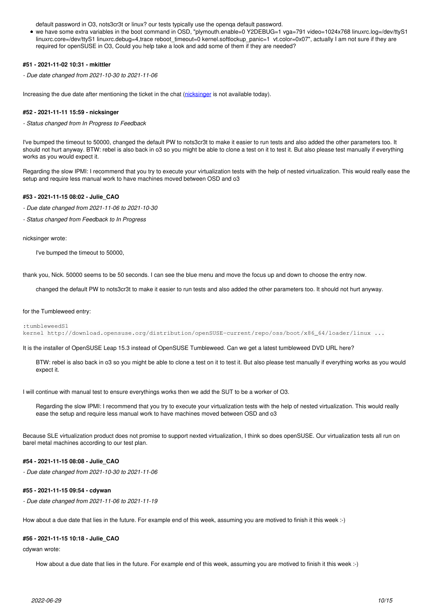default password in O3, nots3cr3t or linux? our tests typically use the openqa default password.

we have some extra variables in the boot command in OSD, "plymouth.enable=0 Y2DEBUG=1 vga=791 video=1024x768 linuxrc.log=/dev/ttyS1 linuxrc.core=/dev/ttyS1 linuxrc.debug=4,trace reboot timeout=0 kernel.softlockup\_panic=1 vt.color=0x07", actually I am not sure if they are required for openSUSE in O3, Could you help take a look and add some of them if they are needed?

# **#51 - 2021-11-02 10:31 - mkittler**

*- Due date changed from 2021-10-30 to 2021-11-06*

Increasing the due date after mentioning the ticket in the chat ([nicksinger](progress.opensuse.org/users/24624) is not available today).

### **#52 - 2021-11-11 15:59 - nicksinger**

*- Status changed from In Progress to Feedback*

I've bumped the timeout to 50000, changed the default PW to nots3cr3t to make it easier to run tests and also added the other parameters too. It should not hurt anyway. BTW: rebel is also back in o3 so you might be able to clone a test on it to test it. But also please test manually if everything works as you would expect it.

Regarding the slow IPMI: I recommend that you try to execute your virtualization tests with the help of nested virtualization. This would really ease the setup and require less manual work to have machines moved between OSD and o3

### **#53 - 2021-11-15 08:02 - Julie\_CAO**

- *Due date changed from 2021-11-06 to 2021-10-30*
- *Status changed from Feedback to In Progress*

nicksinger wrote:

I've bumped the timeout to 50000,

thank you, Nick. 50000 seems to be 50 seconds. I can see the blue menu and move the focus up and down to choose the entry now.

changed the default PW to nots3cr3t to make it easier to run tests and also added the other parameters too. It should not hurt anyway.

#### for the Tumbleweed entry:

:tumbleweedS1

kernel http://download.opensuse.org/distribution/openSUSE-current/repo/oss/boot/x86\_64/loader/linux ...

It is the installer of OpenSUSE Leap 15.3 instead of OpenSUSE Tumbleweed. Can we get a latest tumbleweed DVD URL here?

BTW: rebel is also back in o3 so you might be able to clone a test on it to test it. But also please test manually if everything works as you would expect it.

I will continue with manual test to ensure everythings works then we add the SUT to be a worker of O3.

Regarding the slow IPMI: I recommend that you try to execute your virtualization tests with the help of nested virtualization. This would really ease the setup and require less manual work to have machines moved between OSD and o3

Because SLE virtualization product does not promise to support nexted virtualization, I think so does openSUSE. Our virtualization tests all run on barel metal machines according to our test plan.

### **#54 - 2021-11-15 08:08 - Julie\_CAO**

*- Due date changed from 2021-10-30 to 2021-11-06*

#### **#55 - 2021-11-15 09:54 - cdywan**

*- Due date changed from 2021-11-06 to 2021-11-19*

How about a due date that lies in the future. For example end of this week, assuming you are motived to finish it this week :-)

### **#56 - 2021-11-15 10:18 - Julie\_CAO**

cdywan wrote:

How about a due date that lies in the future. For example end of this week, assuming you are motived to finish it this week :-)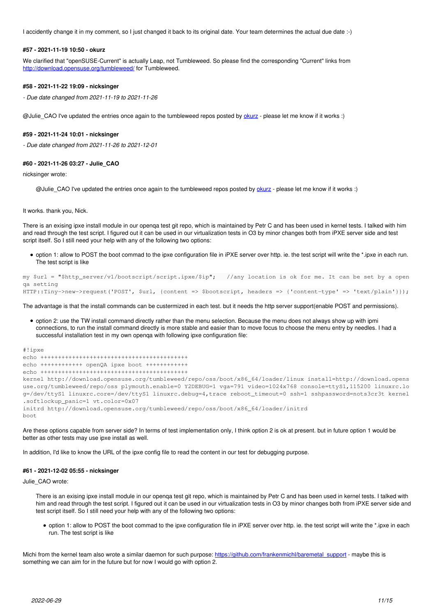I accidently change it in my comment, so I just changed it back to its original date. Your team determines the actual due date :-)

#### **#57 - 2021-11-19 10:50 - okurz**

We clarified that "openSUSE-Current" is actually Leap, not Tumbleweed. So please find the corresponding "Current" links from <http://download.opensuse.org/tumbleweed/>for Tumbleweed.

## **#58 - 2021-11-22 19:09 - nicksinger**

*- Due date changed from 2021-11-19 to 2021-11-26*

@Julie\_CAO I've updated the entries once again to the tumbleweed repos posted by [okurz](progress.opensuse.org/users/17668) - please let me know if it works :)

#### **#59 - 2021-11-24 10:01 - nicksinger**

*- Due date changed from 2021-11-26 to 2021-12-01*

#### **#60 - 2021-11-26 03:27 - Julie\_CAO**

nicksinger wrote:

@Julie\_CAO I've updated the entries once again to the tumbleweed repos posted by [okurz](progress.opensuse.org/users/17668) - please let me know if it works :)

It works. thank you, Nick.

There is an exising ipxe install module in our openqa test git repo, which is maintained by Petr C and has been used in kernel tests. I talked with him and read through the test script. I figured out it can be used in our virtualization tests in O3 by minor changes both from iPXE server side and test script itself. So I still need your help with any of the following two options:

option 1: allow to POST the boot commad to the ipxe configuration file in iPXE server over http. ie. the test script will write the \*.ipxe in each run. The test script is like

```
my $url = "$http_server/v1/bootscript/script.ipxe/$ip";   //any location is ok for me. It can be set by a open
qa setting
HTTP::Tiny->new->request('POST', $url, {content => $bootscript, headers => {'content-type' => 'text/plain'}});
```
The advantage is that the install commands can be custermized in each test. but it needs the http server support(enable POST and permissions).

option 2: use the TW install command directly rather than the menu selection. Because the menu does not always show up with ipmi connections, to run the install command directly is more stable and easier than to move focus to choose the menu entry by needles. I had a successful installation test in my own openqa with following ipxe configuration file:

```
#!ipxe
echo ++++++++++++++++++++++++++++++++++++++++++
echo ++++++++++++ openQA ipxe boot ++++++++++++
echo ++++++++++++++++++++++++++++++++++++++++++
kernel http://download.opensuse.org/tumbleweed/repo/oss/boot/x86_64/loader/linux install=http://download.opens
use.org/tumbleweed/repo/oss plymouth.enable=0 Y2DEBUG=1 vga=791 video=1024x768 console=ttyS1,115200 linuxrc.lo
g=/dev/ttyS1 linuxrc.core=/dev/ttyS1 linuxrc.debug=4,trace reboot_timeout=0 ssh=1 sshpassword=nots3cr3t kernel
.softlockup_panic=1 vt.color=0x07
initrd http://download.opensuse.org/tumbleweed/repo/oss/boot/x86_64/loader/initrd
boot
```
Are these options capable from server side? In terms of test implementation only, I think option 2 is ok at present. but in future option 1 would be better as other tests may use ipxe install as well.

In addition, I'd like to know the URL of the ipxe config file to read the content in our test for debugging purpose.

#### **#61 - 2021-12-02 05:55 - nicksinger**

Julie\_CAO wrote:

There is an exising ipxe install module in our openqa test git repo, which is maintained by Petr C and has been used in kernel tests. I talked with him and read through the test script. I figured out it can be used in our virtualization tests in O3 by minor changes both from iPXE server side and test script itself. So I still need your help with any of the following two options:

option 1: allow to POST the boot commad to the ipxe configuration file in iPXE server over http. ie. the test script will write the \*.ipxe in each run. The test script is like

Michi from the kernel team also wrote a similar daemon for such purpose: https://github.com/frankenmichl/baremetal support - maybe this is something we can aim for in the future but for now I would go with option 2.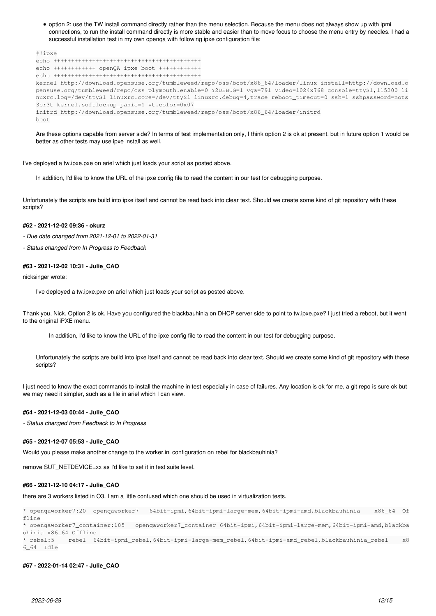option 2: use the TW install command directly rather than the menu selection. Because the menu does not always show up with ipmi connections, to run the install command directly is more stable and easier than to move focus to choose the menu entry by needles. I had a successful installation test in my own openqa with following ipxe configuration file:

```
#!ipxe
echo ++++++++++++++++++++++++++++++++++++++++++
echo ++++++++++++ openQA ipxe boot ++++++++++++
echo ++++++++++++++++++++++++++++++++++++++++++
kernel http://download.opensuse.org/tumbleweed/repo/oss/boot/x86_64/loader/linux install=http://download.o
pensuse.org/tumbleweed/repo/oss plymouth.enable=0 Y2DEBUG=1 vga=791 video=1024x768 console=ttyS1,115200 li
nuxrc.log=/dev/ttyS1 linuxrc.core=/dev/ttyS1 linuxrc.debug=4,trace reboot_timeout=0 ssh=1 sshpassword=nots
3cr3t kernel.softlockup_panic=1 vt.color=0x07
initrd http://download.opensuse.org/tumbleweed/repo/oss/boot/x86_64/loader/initrd
boot
```
Are these options capable from server side? In terms of test implementation only, I think option 2 is ok at present. but in future option 1 would be better as other tests may use ipxe install as well.

I've deployed a tw.ipxe.pxe on ariel which just loads your script as posted above.

In addition, I'd like to know the URL of the ipxe config file to read the content in our test for debugging purpose.

Unfortunately the scripts are build into ipxe itself and cannot be read back into clear text. Should we create some kind of git repository with these scripts?

### **#62 - 2021-12-02 09:36 - okurz**

*- Due date changed from 2021-12-01 to 2022-01-31*

*- Status changed from In Progress to Feedback*

#### **#63 - 2021-12-02 10:31 - Julie\_CAO**

nicksinger wrote:

I've deployed a tw.ipxe.pxe on ariel which just loads your script as posted above.

Thank you, Nick. Option 2 is ok. Have you configured the blackbauhinia on DHCP server side to point to tw.ipxe.pxe? I just tried a reboot, but it went to the original iPXE menu.

In addition, I'd like to know the URL of the ipxe config file to read the content in our test for debugging purpose.

Unfortunately the scripts are build into ipxe itself and cannot be read back into clear text. Should we create some kind of git repository with these scripts?

I just need to know the exact commands to install the machine in test especially in case of failures. Any location is ok for me, a git repo is sure ok but we may need it simpler, such as a file in ariel which I can view.

# **#64 - 2021-12-03 00:44 - Julie\_CAO**

*- Status changed from Feedback to In Progress*

#### **#65 - 2021-12-07 05:53 - Julie\_CAO**

Would you please make another change to the worker.ini configuration on rebel for blackbauhinia?

remove SUT\_NETDEVICE=xx as I'd like to set it in test suite level.

# **#66 - 2021-12-10 04:17 - Julie\_CAO**

there are 3 workers listed in O3. I am a little confused which one should be used in virtualization tests.

```
* openqaworker7:20  openqaworker7   64bit-ipmi,64bit-ipmi-large-mem,64bit-ipmi-amd,blackbauhinia    x86_64  Of
fline
* openqaworker7_container:105   openqaworker7_container 64bit-ipmi,64bit-ipmi-large-mem,64bit-ipmi-amd,blackba
uhinia x86_64 Offline 
* rebel:5    rebel  64bit-ipmi_rebel,64bit-ipmi-large-mem_rebel,64bit-ipmi-amd_rebel,blackbauhinia_rebel    x8
6_64  Idle
```
#### **#67 - 2022-01-14 02:47 - Julie\_CAO**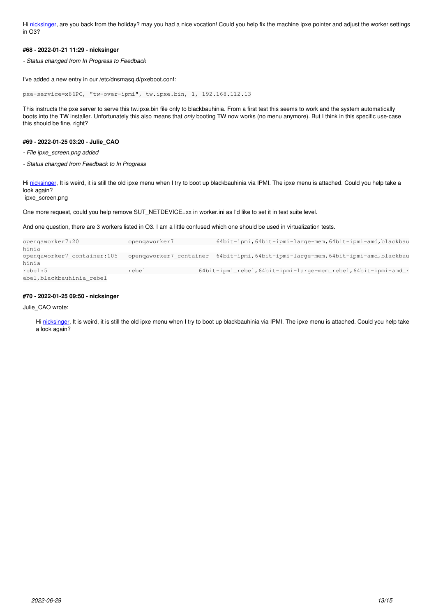Hi [nicksinger,](progress.opensuse.org/users/24624) are you back from the holiday? may you had a nice vocation! Could you help fix the machine ipxe pointer and adjust the worker settings in O3?

# **#68 - 2022-01-21 11:29 - nicksinger**

*- Status changed from In Progress to Feedback*

I've added a new entry in our /etc/dnsmasq.d/pxeboot.conf:

pxe-service=x86PC, "tw-over-ipmi", tw.ipxe.bin, 1, 192.168.112.13

This instructs the pxe server to serve this tw.ipxe.bin file only to blackbauhinia. From a first test this seems to work and the system automatically boots into the TW installer. Unfortunately this also means that *only* booting TW now works (no menu anymore). But I think in this specific use-case this should be fine, right?

# **#69 - 2022-01-25 03:20 - Julie\_CAO**

*- File ipxe\_screen.png added*

*- Status changed from Feedback to In Progress*

Hi [nicksinger,](progress.opensuse.org/users/24624) It is weird, it is still the old ipxe menu when I try to boot up blackbauhinia via IPMI. The ipxe menu is attached. Could you help take a look again?

ipxe\_screen.png

One more request, could you help remove SUT\_NETDEVICE=xx in worker.ini as I'd like to set it in test suite level.

And one question, there are 3 workers listed in O3. I am a little confused which one should be used in virtualization tests.

| opengaworker7:20            | opengaworker7                                                                   |  | 64bit-ipmi, 64bit-ipmi-large-mem, 64bit-ipmi-amd, blackbau     |  |
|-----------------------------|---------------------------------------------------------------------------------|--|----------------------------------------------------------------|--|
| hinia                       |                                                                                 |  |                                                                |  |
| opengaworker7_container:105 | opengaworker7_container 64bit-ipmi,64bit-ipmi-large-mem,64bit-ipmi-amd,blackbau |  |                                                                |  |
| hinia                       |                                                                                 |  |                                                                |  |
| rebel:5                     | rebel                                                                           |  | 64bit-ipmi_rebel, 64bit-ipmi-large-mem_rebel, 64bit-ipmi-amd_r |  |
| ebel, blackbauhinia rebel   |                                                                                 |  |                                                                |  |

# **#70 - 2022-01-25 09:50 - nicksinger**

Julie\_CAO wrote:

Hi [nicksinger,](progress.opensuse.org/users/24624) It is weird, it is still the old ipxe menu when I try to boot up blackbauhinia via IPMI. The ipxe menu is attached. Could you help take a look again?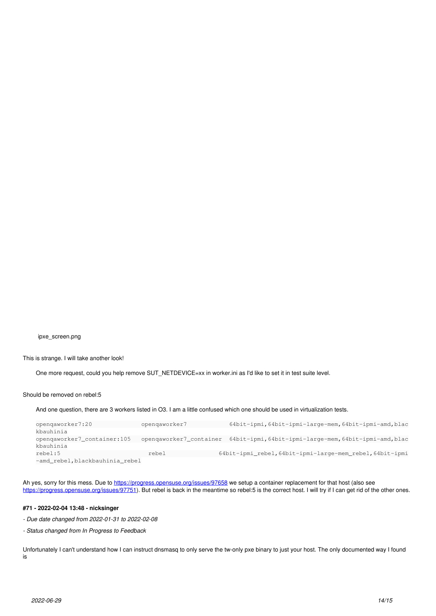ipxe\_screen.png

This is strange. I will take another look!

One more request, could you help remove SUT\_NETDEVICE=xx in worker.ini as I'd like to set it in test suite level.

Should be removed on rebel:5

And one question, there are 3 workers listed in O3. I am a little confused which one should be used in virtualization tests.

| opengaworker7:20                | opengaworker7 | 64bit-ipmi, 64bit-ipmi-large-mem, 64bit-ipmi-amd, blac                         |
|---------------------------------|---------------|--------------------------------------------------------------------------------|
| kbauhinia                       |               |                                                                                |
| opengaworker7_container:105     |               | opengaworker7_container 64bit-ipmi, 64bit-ipmi-large-mem, 64bit-ipmi-amd, blac |
| kbauhinia                       |               |                                                                                |
| rebel:5                         | rebel         | 64bit-ipmi_rebel, 64bit-ipmi-large-mem_rebel, 64bit-ipmi                       |
| -amd rebel, blackbauhinia rebel |               |                                                                                |

Ah yes, sorry for this mess. Due to <https://progress.opensuse.org/issues/97658>we setup a container replacement for that host (also see <https://progress.opensuse.org/issues/97751>). But rebel is back in the meantime so rebel:5 is the correct host. I will try if I can get rid of the other ones.

# **#71 - 2022-02-04 13:48 - nicksinger**

*- Due date changed from 2022-01-31 to 2022-02-08*

*- Status changed from In Progress to Feedback*

Unfortunately I can't understand how I can instruct dnsmasq to only serve the tw-only pxe binary to just your host. The only documented way I found is